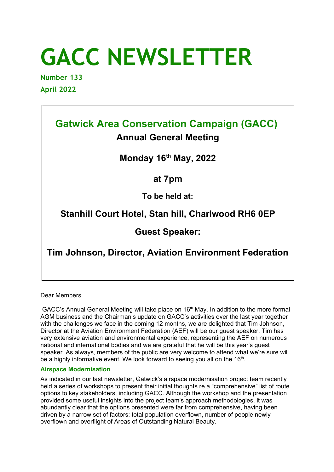# **GACC NEWSLETTER**

**Number 133 April 2022** 

## **Gatwick Area Conservation Campaign (GACC)**

## **Annual General Meeting**

### **Monday 16th May, 2022**

**at 7pm**

**To be held at:**

## **Stanhill Court Hotel, Stan hill, Charlwood RH6 0EP**

**Guest Speaker:**

**Tim Johnson, Director, Aviation Environment Federation**

Dear Members

GACC's Annual General Meeting will take place on  $16<sup>th</sup>$  May. In addition to the more formal AGM business and the Chairman's update on GACC's activities over the last year together with the challenges we face in the coming 12 months, we are delighted that Tim Johnson, Director at the Aviation Environment Federation (AEF) will be our guest speaker. Tim has very extensive aviation and environmental experience, representing the AEF on numerous national and international bodies and we are grateful that he will be this year's guest speaker. As always, members of the public are very welcome to attend what we're sure will be a highly informative event. We look forward to seeing you all on the  $16<sup>th</sup>$ .

#### **Airspace Modernisation**

As indicated in our last newsletter, Gatwick's airspace modernisation project team recently held a series of workshops to present their initial thoughts re a "comprehensive" list of route options to key stakeholders, including GACC. Although the workshop and the presentation provided some useful insights into the project team's approach methodologies, it was abundantly clear that the options presented were far from comprehensive, having been driven by a narrow set of factors: total population overflown, number of people newly overflown and overflight of Areas of Outstanding Natural Beauty.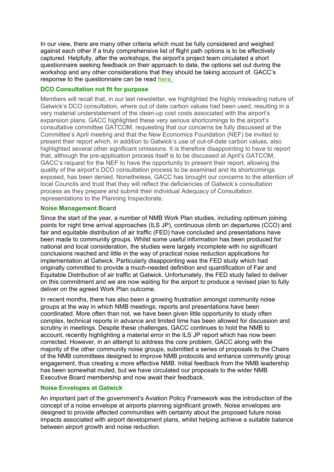In our view, there are many other criteria which must be fully considered and weighed against each other if a truly comprehensive list of flight path options is to be effectively captured. Helpfully, after the workshops, the airport's project team circulated a short questionnaire seeking feedback on their approach to date, the options set out during the workshop and any other considerations that they should be taking account of. GACC's response to the questionnaire can be read **[here](https://www.gacc.org.uk/resources/Corresponence/FASI%20South%20Airspace%20Change%20Proposal%20Darft%20Questionnaire%20Response%20v1.3-1.pdf)** .

#### **DCO Consultation not fit for purpose**

Members will recall that, in our last newsletter, we highlighted the highly misleading nature of Gatwick's DCO consultation, where out of date carbon values had been used, resulting in a very material understatement of the clean-up cost costs associated with the airport's expansion plans. GACC highlighted these very serious shortcomings to the airport's consultative committee GATCOM, requesting that our concerns be fully discussed at the Committee's April meeting and that the New Economics Foundation (NEF) be invited to present their report which, in addition to Gatwick's use of out-of-date carbon values, also highlighted several other significant omissions. It is therefore disappointing to have to report that, although the pre-application process itself is to be discussed at April's GATCOM, GACC's request for the NEF to have the opportunity to present their report, allowing the quality of the airport's DCO consultation process to be examined and its shortcomings exposed, has been denied. Nonetheless, GACC has brought our concerns to the attention of local Councils and trust that they will reflect the deficiencies of Gatwick's consultation process as they prepare and submit their individual Adequacy of Consultation representations to the Planning Inspectorate.

#### **Noise Management Board**

Since the start of the year, a number of NMB Work Plan studies, including optimum joining points for night time arrival approaches (ILS JP), continuous climb on departures (CCO) and fair and equitable distribution of air traffic (FED) have concluded and presentations have been made to community groups. Whilst some useful information has been produced for national and local consideration, the studies were largely incomplete with no significant conclusions reached and little in the way of practical noise reduction applications for implementation at Gatwick. Particularly disappointing was the FED study which had originally committed to provide a much-needed definition and quantification of Fair and Equitable Distribution of air traffic at Gatwick. Unfortunately, the FED study failed to deliver on this commitment and we are now waiting for the airport to produce a revised plan to fully deliver on the agreed Work Plan outcome.

In recent months, there has also been a growing frustration amongst community noise groups at the way in which NMB meetings, reports and presentations have been coordinated. More often than not, we have been given little opportunity to study often complex, technical reports in advance and limited time has been allowed for discussion and scrutiny in meetings. Despite these challenges, GACC continues to hold the NMB to account, recently highlighting a material error in the ILS JP report which has now been corrected. However, in an attempt to address the core problem, GACC along with the majority of the other community noise groups, submitted a series of proposals to the Chairs of the NMB committees designed to improve NMB protocols and enhance community group engagement, thus creating a more effective NMB. Initial feedback from the NMB leadership has been somewhat muted, but we have circulated our proposals to the wider NMB Executive Board membership and now await their feedback.

#### **Noise Envelopes at Gatwick**

An important part of the government's Aviation Policy Framework was the introduction of the concept of a noise envelope at airports planning significant growth. Noise envelopes are designed to provide affected communities with certainty about the proposed future noise impacts associated with airport development plans, whilst helping achieve a suitable balance between airport growth and noise reduction.